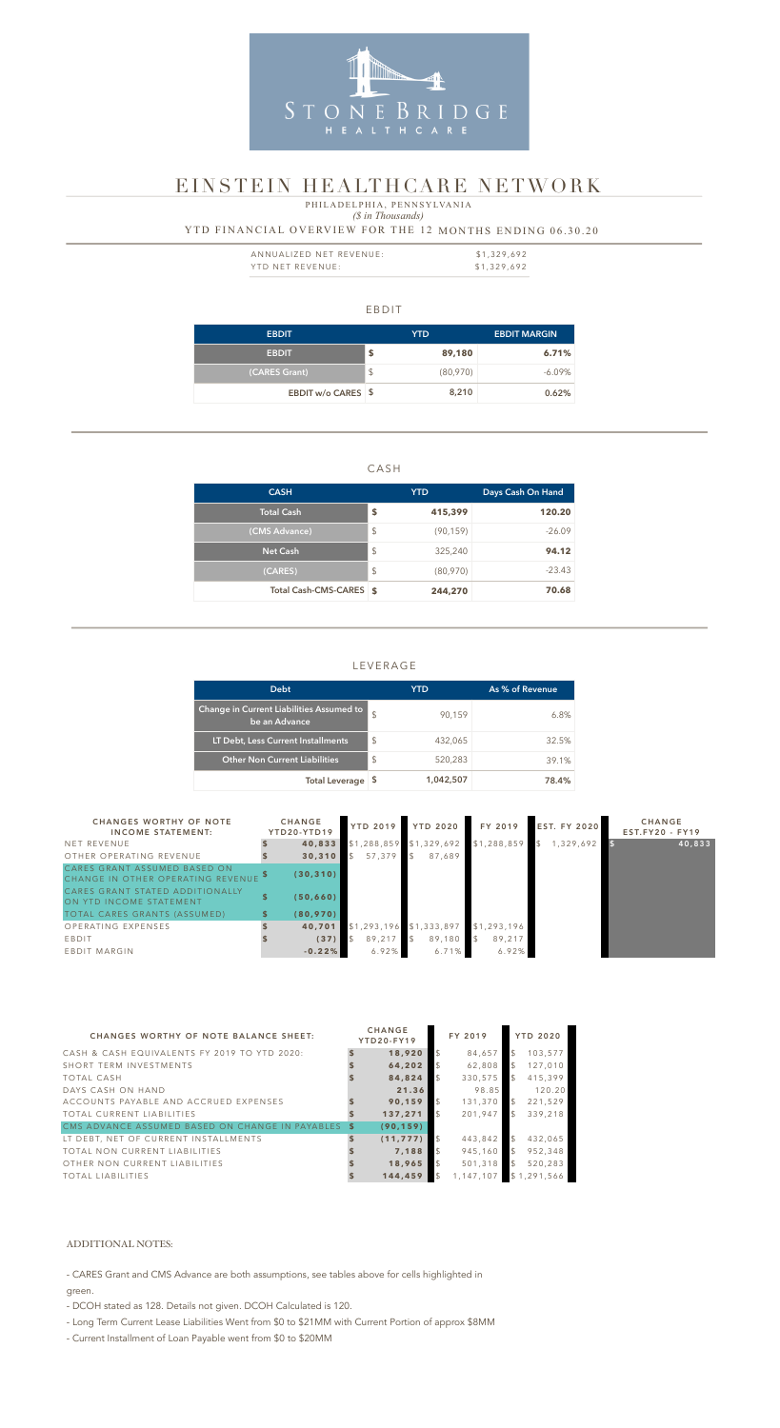#### EBDIT

#### *(\$ in Thousands)* YTD FINANCIAL OVERVIEW FOR THE 12 MONTHS ENDING 06.30.20 P H I L A D E L P H I A, P E N N S Y L V A N I A

| <b>EBDIT</b>              | YTD.          |          | <b>EBDIT MARGIN</b> |  |  |
|---------------------------|---------------|----------|---------------------|--|--|
| <b>EBDIT</b>              | \$            | 89,180   | 6.71%               |  |  |
| (CARES Grant)             | $\frac{1}{2}$ | (80,970) | $-6.09\%$           |  |  |
| <b>EBDIT w/o CARES \$</b> |               | 8,210    | 0.62%               |  |  |

#### CASH

| <b>CASH</b>             |                         | <b>YTD</b> | Days Cash On Hand |  |  |
|-------------------------|-------------------------|------------|-------------------|--|--|
| Total Cash              | S                       | 415,399    | 120.20            |  |  |
| (CMS Advance)           | $\sqrt[6]{\frac{1}{2}}$ | (90, 159)  | $-26.09$          |  |  |
| <b>Net Cash</b>         | $\sqrt[6]{\frac{1}{2}}$ | 325,240    | 94.12             |  |  |
| (CARES)                 | $\sqrt[6]{\frac{1}{2}}$ | (80,970)   | $-23.43$          |  |  |
| Total Cash-CMS-CARES \$ |                         | 244,270    | 70.68             |  |  |

| ANNUALIZED NET REVENUE: | \$1,329,692 |
|-------------------------|-------------|
| YTD NET REVENUE:        | \$1,329,692 |

#### LEVERAGE

| <b>Debt</b>                                               |               | YTD       | As % of Revenue |
|-----------------------------------------------------------|---------------|-----------|-----------------|
| Change in Current Liabilities Assumed to<br>be an Advance | $\mathcal{S}$ | 90,159    | 6.8%            |
| LT Debt, Less Current Installments                        | \$            | 432,065   | 32.5%           |
| <b>Other Non Current Liabilities</b>                      | \$            | 520,283   | 39.1%           |
| <b>Total Leverage</b>                                     | 5             | 1,042,507 | 78.4%           |



## EINSTEIN HEALTHCARE NETWORK

| <b>CHANGES WORTHY OF NOTE</b><br><b>INCOME STATEMENT:</b>         | <b>CHANGE</b><br>YTD20-YTD19 | <b>YTD 2019</b> | <b>YTD 2020</b>           | FY 2019                 | <b>EST. FY 2020</b> | <b>CHANGE</b><br>$EST.FY20 - FY19$ |
|-------------------------------------------------------------------|------------------------------|-----------------|---------------------------|-------------------------|---------------------|------------------------------------|
| NET REVENUE                                                       | 40,833                       |                 | $$1,288,859$ \$1,329,692  | \$1,288,859             | 1,329,692           | 40,833                             |
| OTHER OPERATING REVENUE                                           | 30,310                       | 57.379          | \$<br>87,689              |                         |                     |                                    |
| CARES GRANT ASSUMED BASED ON<br>CHANGE IN OTHER OPERATING REVENUE | (30, 310)                    |                 |                           |                         |                     |                                    |
| CARES GRANT STATED ADDITIONALLY<br>ON YTD INCOME STATEMENT        | (50, 660)                    |                 |                           |                         |                     |                                    |
| TOTAL CARES GRANTS (ASSUMED)                                      | (80, 970)                    |                 |                           |                         |                     |                                    |
| OPERATING EXPENSES                                                | 40,701                       |                 | $$1,293,196$ $$1,333,897$ | \$1,293,196             |                     |                                    |
| EBDIT                                                             | (37)                         | 89,217          | 89,180                    | $\mathcal{L}$<br>89,217 |                     |                                    |
| EBDIT MARGIN                                                      | $-0.22%$                     | 6.92%           | 6.71%                     | 6.92%                   |                     |                                    |

| <b>CHANGES WORTHY OF NOTE BALANCE SHEET:</b>       | <b>CHANGE</b><br>YTD20-FY19 | FY 2019   |               | <b>YTD 2020</b> |
|----------------------------------------------------|-----------------------------|-----------|---------------|-----------------|
| CASH & CASH EQUIVALENTS FY 2019 TO YTD 2020:       | 18,920                      | 84,657    |               | 103,577         |
| SHORT TERM INVESTMENTS                             | 64,202                      | 62,808    |               | 127,010         |
| <b>TOTAL CASH</b>                                  | 84,824                      | 330,575   |               | 415,399         |
| DAYS CASH ON HAND                                  | 21.36                       | 98.85     |               | 120.20          |
| ACCOUNTS PAYABLE AND ACCRUED EXPENSES              | 90.159                      | 131,370   |               | 221,529         |
| <b>TOTAL CURRENT LIABILITIES</b>                   | 137,271                     | 201.947   |               | 339,218         |
| CMS ADVANCE ASSUMED BASED ON CHANGE IN PAYABLES \$ | (90, 159)                   |           |               |                 |
| LT DEBT, NET OF CURRENT INSTALLMENTS               | (11, 777)                   | 443,842   | $\mathcal{L}$ | 432,065         |
| TOTAL NON CURRENT LIABILITIES                      | 7.188                       | 945,160   | $\mathbb{S}$  | 952,348         |
| OTHER NON CURRENT LIABILITIES                      | 18,965                      | 501.318   |               | 520,283         |
| <b>TOTAL LIABILITIES</b>                           | 144,459                     | 1.147.107 |               | \$1,291,566     |

#### ADDITIONAL NOTES:

- CARES Grant and CMS Advance are both assumptions, see tables above for cells highlighted in

green.

- DCOH stated as 128. Details not given. DCOH Calculated is 120.
- Long Term Current Lease Liabilities Went from \$0 to \$21MM with Current Portion of approx \$8MM
- Current Installment of Loan Payable went from \$0 to \$20MM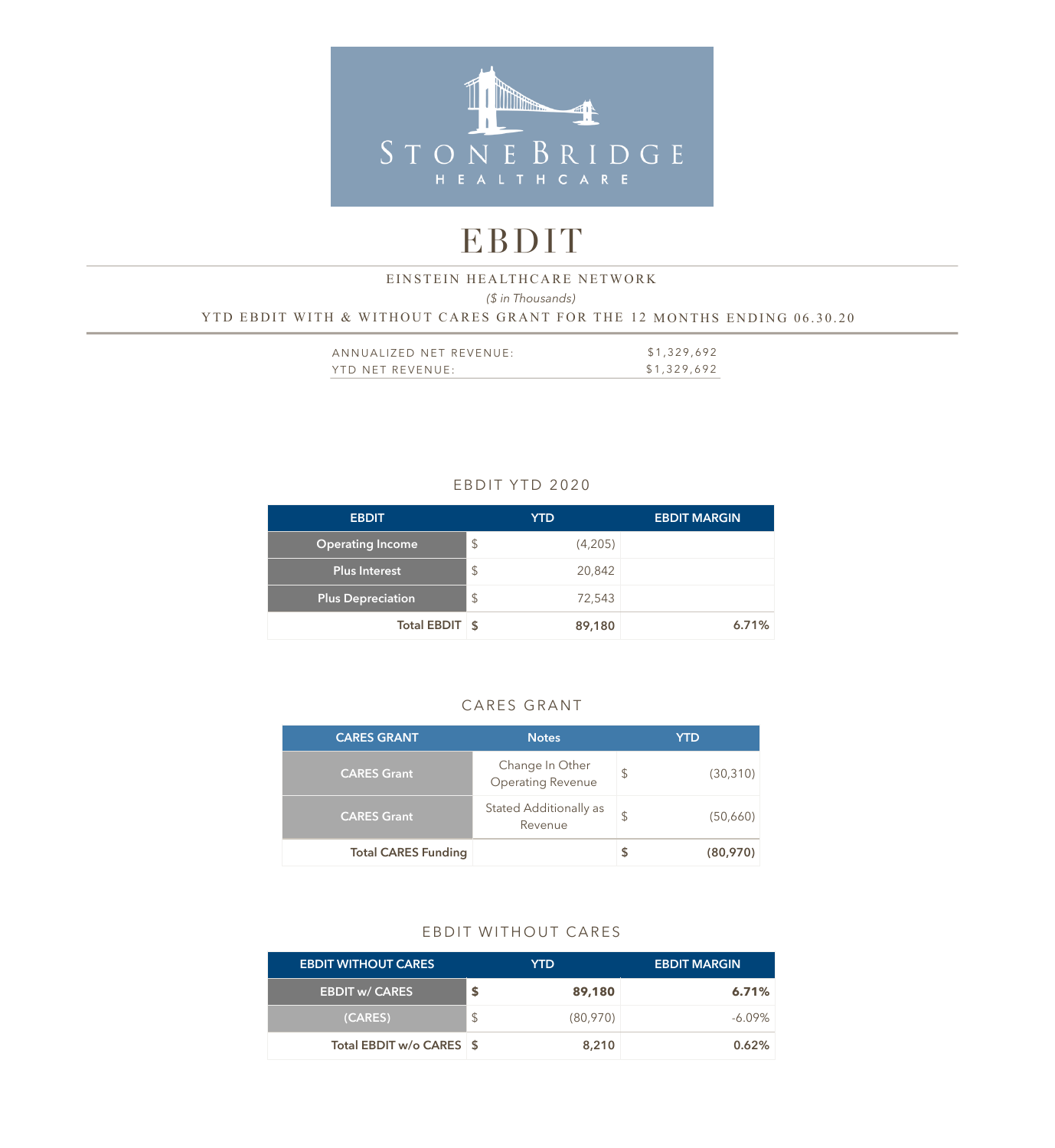

# EBDIT

#### *(\$ in Thousands)*  YTD EBDIT WITH & WITHOUT CARES GRANT FOR THE 12 MONTHS ENDING 06.30.20 EINSTEIN HEALTHCARE NETWORK

| ANNUALIZED NET REVENUE: | \$1,329,692 |
|-------------------------|-------------|
| YTD NET REVENUE:        | \$1,329,692 |

### EBDIT YTD 2020

| <b>EBDIT</b>             | <b>YTD</b>                        | <b>EBDIT MARGIN</b> |
|--------------------------|-----------------------------------|---------------------|
| <b>Operating Income</b>  | $\mathcal{L}$<br>(4,205)          |                     |
| <b>Plus Interest</b>     | $\sqrt[6]{\frac{1}{2}}$<br>20,842 |                     |
| <b>Plus Depreciation</b> | $\mathcal{L}$<br>72,543           |                     |
| Total EBDIT \$           | 89,180                            | 6.71%               |

#### CARES GRANT

| <b>CARES GRANT</b>         | <b>Notes</b>                                | <b>YTD</b>      |  |  |
|----------------------------|---------------------------------------------|-----------------|--|--|
| <b>CARES Grant</b>         | Change In Other<br><b>Operating Revenue</b> | \$<br>(30, 310) |  |  |
| <b>CARES Grant</b>         | Stated Additionally as<br>Revenue           | (50,660)        |  |  |
| <b>Total CARES Funding</b> |                                             | (80,970)        |  |  |

### EBDIT WITHOUT CARES

| <b>EBDIT WITHOUT CARES</b> | YTD.           | <b>EBDIT MARGIN</b> |
|----------------------------|----------------|---------------------|
| <b>EBDIT w/ CARES</b>      | 89,180         | 6.71%               |
| (CARES)                    | \$<br>(80,970) | $-6.09\%$           |
| Total EBDIT w/o CARES \$   | 8,210          | 0.62%               |